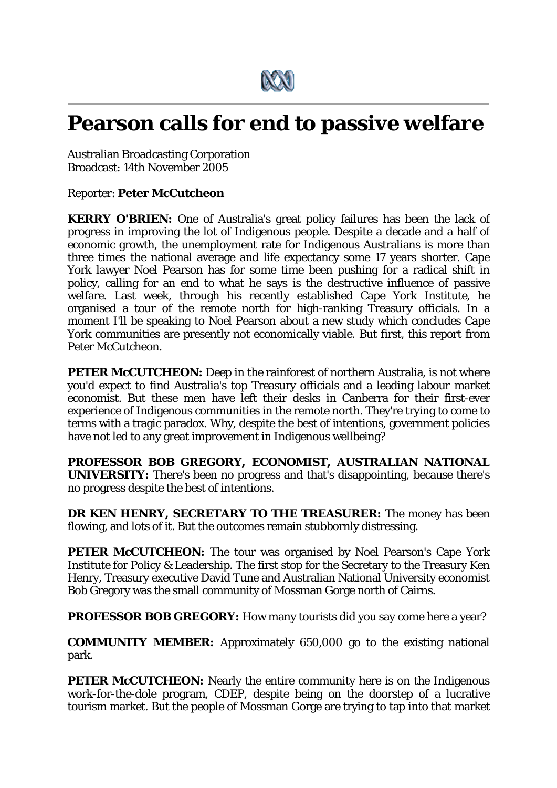

## **Pearson calls for end to passive welfare**

Australian Broadcasting Corporation Broadcast: 14th November 2005

Reporter: **Peter McCutcheon**

**KERRY O'BRIEN:** One of Australia's great policy failures has been the lack of progress in improving the lot of Indigenous people. Despite a decade and a half of economic growth, the unemployment rate for Indigenous Australians is more than three times the national average and life expectancy some 17 years shorter. Cape York lawyer Noel Pearson has for some time been pushing for a radical shift in policy, calling for an end to what he says is the destructive influence of passive welfare. Last week, through his recently established Cape York Institute, he organised a tour of the remote north for high-ranking Treasury officials. In a moment I'll be speaking to Noel Pearson about a new study which concludes Cape York communities are presently not economically viable. But first, this report from Peter McCutcheon.

**PETER McCUTCHEON:** Deep in the rainforest of northern Australia, is not where you'd expect to find Australia's top Treasury officials and a leading labour market economist. But these men have left their desks in Canberra for their first-ever experience of Indigenous communities in the remote north. They're trying to come to terms with a tragic paradox. Why, despite the best of intentions, government policies have not led to any great improvement in Indigenous wellbeing?

**PROFESSOR BOB GREGORY, ECONOMIST, AUSTRALIAN NATIONAL UNIVERSITY:** There's been no progress and that's disappointing, because there's no progress despite the best of intentions.

**DR KEN HENRY, SECRETARY TO THE TREASURER:** The money has been flowing, and lots of it. But the outcomes remain stubbornly distressing.

**PETER McCUTCHEON:** The tour was organised by Noel Pearson's Cape York Institute for Policy & Leadership. The first stop for the Secretary to the Treasury Ken Henry, Treasury executive David Tune and Australian National University economist Bob Gregory was the small community of Mossman Gorge north of Cairns.

**PROFESSOR BOB GREGORY:** How many tourists did you say come here a year?

**COMMUNITY MEMBER:** Approximately 650,000 go to the existing national park.

**PETER McCUTCHEON:** Nearly the entire community here is on the Indigenous work-for-the-dole program, CDEP, despite being on the doorstep of a lucrative tourism market. But the people of Mossman Gorge are trying to tap into that market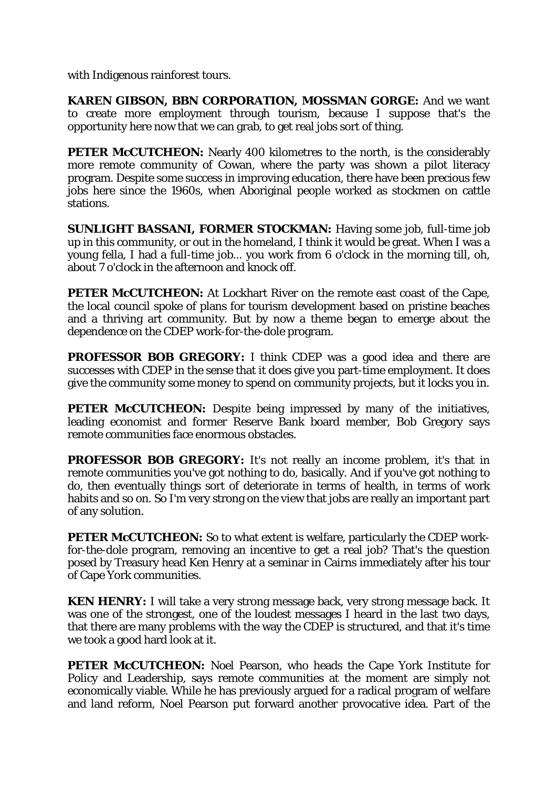with Indigenous rainforest tours.

**KAREN GIBSON, BBN CORPORATION, MOSSMAN GORGE:** And we want to create more employment through tourism, because I suppose that's the opportunity here now that we can grab, to get real jobs sort of thing.

**PETER McCUTCHEON:** Nearly 400 kilometres to the north, is the considerably more remote community of Cowan, where the party was shown a pilot literacy program. Despite some success in improving education, there have been precious few jobs here since the 1960s, when Aboriginal people worked as stockmen on cattle stations.

**SUNLIGHT BASSANI, FORMER STOCKMAN:** Having some job, full-time job up in this community, or out in the homeland, I think it would be great. When I was a young fella, I had a full-time job... you work from 6 o'clock in the morning till, oh, about 7 o'clock in the afternoon and knock off.

**PETER McCUTCHEON:** At Lockhart River on the remote east coast of the Cape, the local council spoke of plans for tourism development based on pristine beaches and a thriving art community. But by now a theme began to emerge about the dependence on the CDEP work-for-the-dole program.

**PROFESSOR BOB GREGORY:** I think CDEP was a good idea and there are successes with CDEP in the sense that it does give you part-time employment. It does give the community some money to spend on community projects, but it locks you in.

**PETER McCUTCHEON:** Despite being impressed by many of the initiatives, leading economist and former Reserve Bank board member, Bob Gregory says remote communities face enormous obstacles.

**PROFESSOR BOB GREGORY:** It's not really an income problem, it's that in remote communities you've got nothing to do, basically. And if you've got nothing to do, then eventually things sort of deteriorate in terms of health, in terms of work habits and so on. So I'm very strong on the view that jobs are really an important part of any solution.

**PETER McCUTCHEON:** So to what extent is welfare, particularly the CDEP workfor-the-dole program, removing an incentive to get a real job? That's the question posed by Treasury head Ken Henry at a seminar in Cairns immediately after his tour of Cape York communities.

**KEN HENRY:** I will take a very strong message back, very strong message back. It was one of the strongest, one of the loudest messages I heard in the last two days, that there are many problems with the way the CDEP is structured, and that it's time we took a good hard look at it.

**PETER McCUTCHEON:** Noel Pearson, who heads the Cape York Institute for Policy and Leadership, says remote communities at the moment are simply not economically viable. While he has previously argued for a radical program of welfare and land reform, Noel Pearson put forward another provocative idea. Part of the